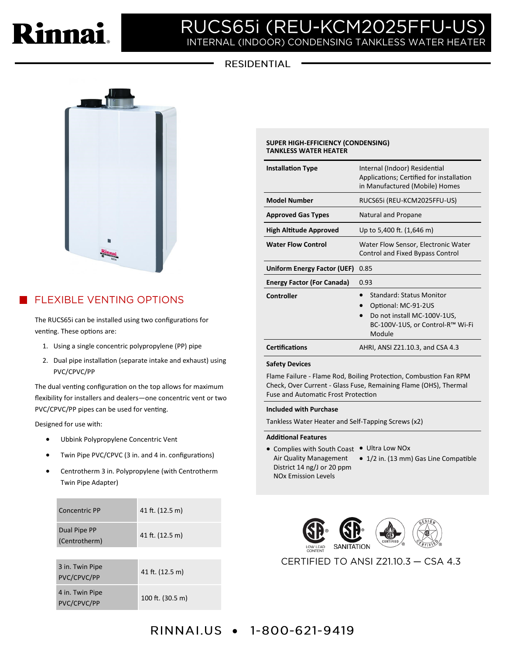

# RUCS65i (REU-KCM2025FFU-I INTERNAL (INDOOR) CONDENSING TANKLESS WATER HEAT

### **RESIDENTIAL**



## **FLEXIBLE VENTING OPTIONS**

The RUCS65i can be installed using two configurations for venting. These options are:

- 1. Using a single concentric polypropylene (PP) pipe
- 2. Dual pipe installation (separate intake and exhaust) using PVC/CPVC/PP

The dual venting configuration on the top allows for maximum flexibility for installers and dealers—one concentric vent or two PVC/CPVC/PP pipes can be used for venting.

Designed for use with:

- Ubbink Polypropylene Concentric Vent
- Twin Pipe PVC/CPVC (3 in. and 4 in. configurations)
- Centrotherm 3 in. Polypropylene (with Centrotherm Twin Pipe Adapter)

| Concentric PP                  | 41 ft. (12.5 m)  |
|--------------------------------|------------------|
| Dual Pipe PP<br>(Centrotherm)  | 41 ft. (12.5 m)  |
|                                |                  |
| 3 in. Twin Pipe<br>PVC/CPVC/PP | 41 ft. (12.5 m)  |
| 4 in. Twin Pipe<br>PVC/CPVC/PP | 100 ft. (30.5 m) |

### **SUPER HIGH-EFFICIENCY (CONDENSING) TANKLESS WATER HEATER**

| <b>Installation Type</b>          | Internal (Indoor) Residential<br>Applications; Certified for installation<br>in Manufactured (Mobile) Homes                         |
|-----------------------------------|-------------------------------------------------------------------------------------------------------------------------------------|
| <b>Model Number</b>               | RUCS65i (REU-KCM2025FFU-US)                                                                                                         |
| <b>Approved Gas Types</b>         | Natural and Propane                                                                                                                 |
| <b>High Altitude Approved</b>     | Up to 5,400 ft. (1,646 m)                                                                                                           |
| <b>Water Flow Control</b>         | Water Flow Sensor, Electronic Water<br>Control and Fixed Bypass Control                                                             |
|                                   |                                                                                                                                     |
| Uniform Energy Factor (UEF)       | 0.85                                                                                                                                |
| <b>Energy Factor (For Canada)</b> | 0.93                                                                                                                                |
| <b>Controller</b>                 | <b>Standard: Status Monitor</b><br>Optional: MC-91-2US<br>Do not install MC-100V-1US,<br>BC-100V-1US, or Control-R™ Wi-Fi<br>Module |

### **Safety Devices**

Flame Failure - Flame Rod, Boiling Protection, Combustion Fan RPM Check, Over Current - Glass Fuse, Remaining Flame (OHS), Thermal Fuse and Automatic Frost Protection

### **Included with Purchase**

Tankless Water Heater and Self-Tapping Screws (x2)

### **Additional Features**

- Complies with South Coast . Ultra Low NOx Air Quality Management • 1/2 in. (13 mm) Gas Line Compatible District 14 ng/J or 20 ppm NOx Emission Levels
	-

CERTIFIED TO ANSI Z21.10.3 - CSA 4.3

## **RINNALUS • 1-800-621-9419**